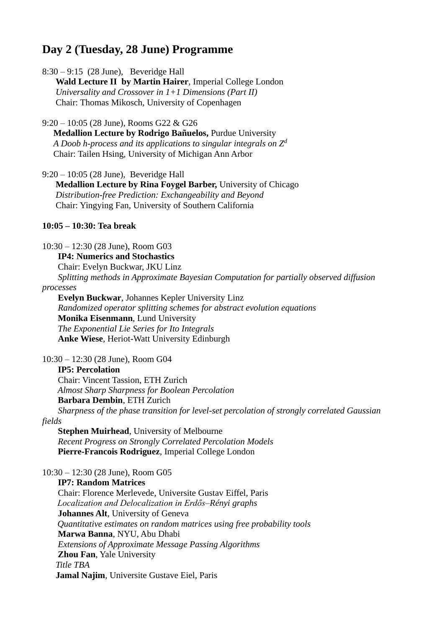# **Day 2 (Tuesday, 28 June) Programme**

8:30 – 9:15 (28 June), Beveridge Hall

 **Wald Lecture II by Martin Hairer**, Imperial College London  *Universality and Crossover in 1+1 Dimensions (Part II)* Chair: Thomas Mikosch, University of Copenhagen

9:20 – 10:05 (28 June), Rooms G22 & G26

 **Medallion Lecture by Rodrigo Bañuelos,** Purdue University *A Doob h-process and its applications to singular integrals on Z<sup>d</sup>* Chair: Tailen Hsing, University of Michigan Ann Arbor

9:20 – 10:05 (28 June), Beveridge Hall

 **Medallion Lecture by Rina Foygel Barber,** University of Chicago *Distribution-free Prediction: Exchangeability and Beyond* Chair: Yingying Fan, University of Southern California

## **10:05 – 10:30: Tea break**

10:30 – 12:30 (28 June), Room G03

**IP4: Numerics and Stochastics**

Chair: Evelyn Buckwar, JKU Linz

 *Splitting methods in Approximate Bayesian Computation for partially observed diffusion* 

## *processes*

 **Evelyn Buckwar**, Johannes Kepler University Linz  *Randomized operator splitting schemes for abstract evolution equations* **Monika Eisenmann**, Lund University  *The Exponential Lie Series for Ito Integrals* **Anke Wiese**, Heriot-Watt University Edinburgh

#### 10:30 – 12:30 (28 June), Room G04

#### **IP5: Percolation**

 Chair: Vincent Tassion, ETH Zurich  *Almost Sharp Sharpness for Boolean Percolation* **Barbara Dembin**, ETH Zurich

 *Sharpness of the phase transition for level-set percolation of strongly correlated Gaussian fields*

 **Stephen Muirhead**, University of Melbourne  *Recent Progress on Strongly Correlated Percolation Models* **Pierre-Francois Rodriguez**, Imperial College London

10:30 – 12:30 (28 June), Room G05

#### **IP7: Random Matrices**

 Chair: Florence Merlevede, Universite Gustav Eiffel, Paris *Localization and Delocalization in Erdős–Rényi graphs* **Johannes Alt**, University of Geneva *Quantitative estimates on random matrices using free probability tools* **Marwa Banna**, NYU, Abu Dhabi  *Extensions of Approximate Message Passing Algorithms* **Zhou Fan**, Yale University *Title TBA* **Jamal Najim**, Universite Gustave Eiel, Paris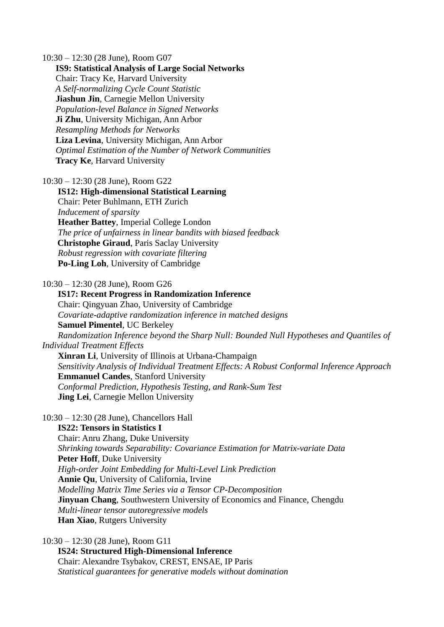10:30 – 12:30 (28 June), Room G07

 **IS9: Statistical Analysis of Large Social Networks** Chair: Tracy Ke, Harvard University  *A Self-normalizing Cycle Count Statistic* **Jiashun Jin**, Carnegie Mellon University  *Population-level Balance in Signed Networks* **Ji Zhu**, University Michigan, Ann Arbor  *Resampling Methods for Networks* **Liza Levina**, University Michigan, Ann Arbor  *Optimal Estimation of the Number of Network Communities* **Tracy Ke**, Harvard University

10:30 – 12:30 (28 June), Room G22

 **IS12: High-dimensional Statistical Learning** Chair: Peter Buhlmann, ETH Zurich  *Inducement of sparsity* **Heather Battey**, Imperial College London  *The price of unfairness in linear bandits with biased feedback* **Christophe Giraud**, Paris Saclay University  *Robust regression with covariate filtering* **Po-Ling Loh**, University of Cambridge

10:30 – 12:30 (28 June), Room G26

 **IS17: Recent Progress in Randomization Inference** Chair: Qingyuan Zhao, University of Cambridge *Covariate-adaptive randomization inference in matched designs* **Samuel Pimentel**, UC Berkeley  *Randomization Inference beyond the Sharp Null: Bounded Null Hypotheses and Quantiles of Individual Treatment Effects* **Xinran Li**, University of Illinois at Urbana-Champaign  *Sensitivity Analysis of Individual Treatment Effects: A Robust Conformal Inference Approach* **Emmanuel Candes**, Stanford University *Conformal Prediction, Hypothesis Testing, and Rank-Sum Test* **Jing Lei**, Carnegie Mellon University

10:30 – 12:30 (28 June), Chancellors Hall

**IS22: Tensors in Statistics I**

 Chair: Anru Zhang, Duke University *Shrinking towards Separability: Covariance Estimation for Matrix-variate Data* **Peter Hoff**, Duke University  *High-order Joint Embedding for Multi-Level Link Prediction* **Annie Qu**, University of California, Irvine  *Modelling Matrix Time Series via a Tensor CP-Decomposition* **Jinyuan Chang**, Southwestern University of Economics and Finance, Chengdu  *Multi-linear tensor autoregressive models* **Han Xiao**, Rutgers University

10:30 – 12:30 (28 June), Room G11 **IS24: Structured High-Dimensional Inference** Chair: Alexandre Tsybakov, CREST, ENSAE, IP Paris  *Statistical guarantees for generative models without domination*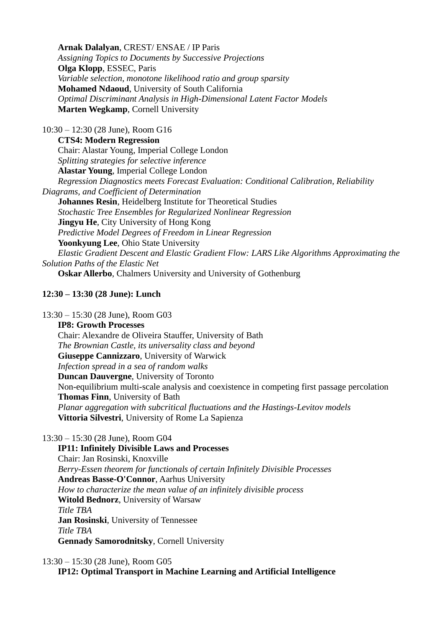**Arnak Dalalyan**, CREST/ ENSAE / IP Paris  *Assigning Topics to Documents by Successive Projections* **Olga Klopp**, ESSEC, Paris  *Variable selection, monotone likelihood ratio and group sparsity* **Mohamed Ndaoud**, University of South California  *Optimal Discriminant Analysis in High-Dimensional Latent Factor Models* **Marten Wegkamp**, Cornell University

10:30 – 12:30 (28 June), Room G16

 **CTS4: Modern Regression** Chair: Alastar Young, Imperial College London *Splitting strategies for selective inference* **Alastar Young**, Imperial College London  *Regression Diagnostics meets Forecast Evaluation: Conditional Calibration, Reliability Diagrams, and Coefficient of Determination* **Johannes Resin**, Heidelberg Institute for Theoretical Studies *Stochastic Tree Ensembles for Regularized Nonlinear Regression* **Jingyu He**, City University of Hong Kong *Predictive Model Degrees of Freedom in Linear Regression* **Yoonkyung Lee**, Ohio State University *Elastic Gradient Descent and Elastic Gradient Flow: LARS Like Algorithms Approximating the Solution Paths of the Elastic Net* **Oskar Allerbo**, Chalmers University and University of Gothenburg

# **12:30 – 13:30 (28 June): Lunch**

13:30 – 15:30 (28 June), Room G03

 **IP8: Growth Processes** Chair: Alexandre de Oliveira Stauffer, University of Bath  *The Brownian Castle, its universality class and beyond* **Giuseppe Cannizzaro**, University of Warwick  *Infection spread in a sea of random walks* **Duncan Dauvergne**, University of Toronto Non-equilibrium multi-scale analysis and coexistence in competing first passage percolation **Thomas Finn**, University of Bath  *Planar aggregation with subcritical fluctuations and the Hastings-Levitov models* **Vittoria Silvestri**, University of Rome La Sapienza

13:30 – 15:30 (28 June), Room G04

 **IP11: Infinitely Divisible Laws and Processes** Chair: Jan Rosinski, Knoxville  *Berry-Essen theorem for functionals of certain Infinitely Divisible Processes* **Andreas Basse-O'Connor**, Aarhus University  *How to characterize the mean value of an infinitely divisible process* **Witold Bednorz**, University of Warsaw *Title TBA* **Jan Rosinski**, University of Tennessee *Title TBA* **Gennady Samorodnitsky**, Cornell University

13:30 – 15:30 (28 June), Room G05 **IP12: Optimal Transport in Machine Learning and Artificial Intelligence**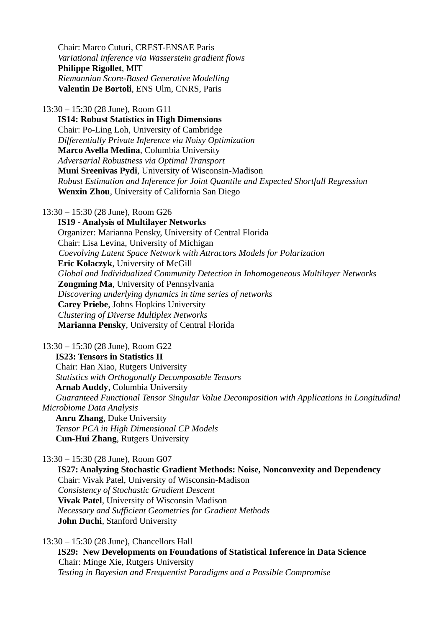Chair: Marco Cuturi, CREST-ENSAE Paris  *Variational inference via Wasserstein gradient flows* **Philippe Rigollet**, MIT *Riemannian Score-Based Generative Modelling* **Valentin De Bortoli**, ENS Ulm, CNRS, Paris

13:30 – 15:30 (28 June), Room G11

 **IS14: Robust Statistics in High Dimensions** Chair: Po-Ling Loh, University of Cambridge  *Differentially Private Inference via Noisy Optimization* **Marco Avella Medina**, Columbia University *Adversarial Robustness via Optimal Transport* **Muni Sreenivas Pydi**, University of Wisconsin-Madison  *Robust Estimation and Inference for Joint Quantile and Expected Shortfall Regression* **Wenxin Zhou**, University of California San Diego

13:30 – 15:30 (28 June), Room G26

 **IS19 - Analysis of Multilayer Networks** Organizer: Marianna Pensky, University of Central Florida Chair: Lisa Levina, University of Michigan *Coevolving Latent Space Network with Attractors Models for Polarization* **Eric Kolaczyk**, University of McGill  *Global and Individualized Community Detection in Inhomogeneous Multilayer Networks* **Zongming Ma**, University of Pennsylvania  *Discovering underlying dynamics in time series of networks* **Carey Priebe**, Johns Hopkins University  *Clustering of Diverse Multiplex Networks* **Marianna Pensky**, University of Central Florida

13:30 – 15:30 (28 June), Room G22 **IS23: Tensors in Statistics II** Chair: Han Xiao, Rutgers University  *Statistics with Orthogonally Decomposable Tensors* **Arnab Auddy**, Columbia University  *Guaranteed Functional Tensor Singular Value Decomposition with Applications in Longitudinal Microbiome Data Analysis* **Anru Zhang**, Duke University  *Tensor PCA in High Dimensional CP Models* **Cun-Hui Zhang**, Rutgers University

13:30 – 15:30 (28 June), Room G07

 **IS27: Analyzing Stochastic Gradient Methods: Noise, Nonconvexity and Dependency** Chair: Vivak Patel, University of Wisconsin-Madison *Consistency of Stochastic Gradient Descent* **Vivak Patel**, University of Wisconsin Madison *Necessary and Sufficient Geometries for Gradient Methods* **John Duchi**, Stanford University

13:30 – 15:30 (28 June), Chancellors Hall **IS29: New Developments on Foundations of Statistical Inference in Data Science** Chair: Minge Xie, Rutgers University  *Testing in Bayesian and Frequentist Paradigms and a Possible Compromise*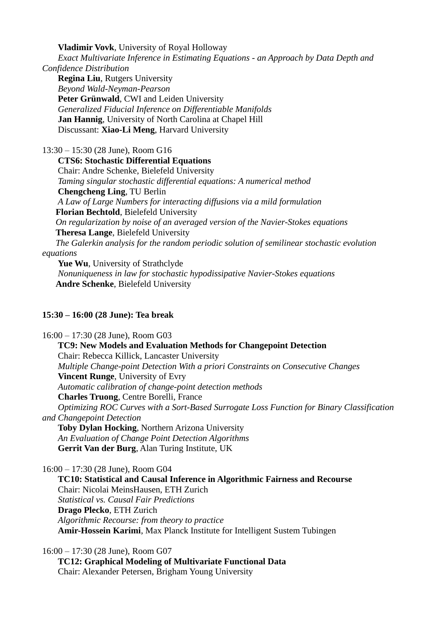**Vladimir Vovk**, University of Royal Holloway

 *Exact Multivariate Inference in Estimating Equations - an Approach by Data Depth and Confidence Distribution*

 **Regina Liu**, Rutgers University  *Beyond Wald-Neyman-Pearson* **Peter Grünwald**, CWI and Leiden University  *Generalized Fiducial Inference on Differentiable Manifolds* **Jan Hannig**, University of North Carolina at Chapel Hill Discussant: **Xiao-Li Meng**, Harvard University

13:30 – 15:30 (28 June), Room G16

 **CTS6: Stochastic Differential Equations** Chair: Andre Schenke, Bielefeld University *Taming singular stochastic differential equations: A numerical method* **Chengcheng Ling**, TU Berlin *A Law of Large Numbers for interacting diffusions via a mild formulation* **Florian Bechtold**, Bielefeld University *On regularization by noise of an averaged version of the Navier-Stokes equations* **Theresa Lange**, Bielefeld University *The Galerkin analysis for the random periodic solution of semilinear stochastic evolution equations* Yue Wu, University of Strathclyde *Nonuniqueness in law for stochastic hypodissipative Navier-Stokes equations* **Andre Schenke**, Bielefeld University

# **15:30 – 16:00 (28 June): Tea break**

16:00 – 17:30 (28 June), Room G03 **TC9: New Models and Evaluation Methods for Changepoint Detection** Chair: Rebecca Killick, Lancaster University *Multiple Change-point Detection With a priori Constraints on Consecutive Changes* **Vincent Runge**, University of Evry *Automatic calibration of change-point detection methods* **Charles Truong**, Centre Borelli, France *Optimizing ROC Curves with a Sort-Based Surrogate Loss Function for Binary Classification and Changepoint Detection* **Toby Dylan Hocking**, Northern Arizona University *An Evaluation of Change Point Detection Algorithms* **Gerrit Van der Burg**, Alan Turing Institute, UK 16:00 – 17:30 (28 June), Room G04 **TC10: Statistical and Causal Inference in Algorithmic Fairness and Recourse** Chair: Nicolai MeinsHausen, ETH Zurich

 *Statistical vs. Causal Fair Predictions* **Drago Plecko**, ETH Zurich *Algorithmic Recourse: from theory to practice* **Amir-Hossein Karimi**, Max Planck Institute for Intelligent Sustem Tubingen

16:00 – 17:30 (28 June), Room G07

 **TC12: Graphical Modeling of Multivariate Functional Data** Chair: Alexander Petersen, Brigham Young University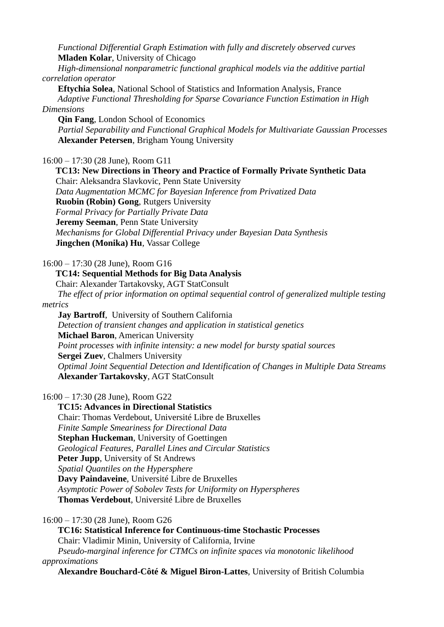*Functional Differential Graph Estimation with fully and discretely observed curves* **Mladen Kolar**, University of Chicago

 *High-dimensional nonparametric functional graphical models via the additive partial correlation operator*

 **Eftychia Solea**, National School of Statistics and Information Analysis, France  *Adaptive Functional Thresholding for Sparse Covariance Function Estimation in High Dimensions*

 **Qin Fang**, London School of Economics *Partial Separability and Functional Graphical Models for Multivariate Gaussian Processes* **Alexander Petersen**, Brigham Young University

16:00 – 17:30 (28 June), Room G11

**TC13: New Directions in Theory and Practice of Formally Private Synthetic Data**

 Chair: Aleksandra Slavkovic, Penn State University  *Data Augmentation MCMC for Bayesian Inference from Privatized Data* **Ruobin (Robin) Gong**, Rutgers University *Formal Privacy for Partially Private Data* **Jeremy Seeman**, Penn State University *Mechanisms for Global Differential Privacy under Bayesian Data Synthesis* **Jingchen (Monika) Hu**, Vassar College

16:00 – 17:30 (28 June), Room G16

**TC14: Sequential Methods for Big Data Analysis**

Chair: Alexander Tartakovsky, AGT StatConsult

*The effect of prior information on optimal sequential control of generalized multiple testing* 

*metrics*

 **Jay Bartroff**, University of Southern California *Detection of transient changes and application in statistical genetics* **Michael Baron**, American University  *Point processes with infinite intensity: a new model for bursty spatial sources* **Sergei Zuev**, Chalmers University *Optimal Joint Sequential Detection and Identification of Changes in Multiple Data Streams* **Alexander Tartakovsky**, AGT StatConsult

16:00 – 17:30 (28 June), Room G22

 **TC15: Advances in Directional Statistics** Chair: Thomas Verdebout, Université Libre de Bruxelles *Finite Sample Smeariness for Directional Data* **Stephan Huckeman**, University of Goettingen *Geological Features, Parallel Lines and Circular Statistics* **Peter Jupp**, University of St Andrews *Spatial Quantiles on the Hypersphere* **Davy Paindaveine**, Université Libre de Bruxelles *Asymptotic Power of Sobolev Tests for Uniformity on Hyperspheres*  **Thomas Verdebout**, Université Libre de Bruxelles

16:00 – 17:30 (28 June), Room G26

 **TC16: Statistical Inference for Continuous-time Stochastic Processes** Chair: Vladimir Minin, University of California, Irvine *Pseudo-marginal inference for CTMCs on infinite spaces via monotonic likelihood approximations*

**Alexandre Bouchard-Côté & Miguel Biron-Lattes**, University of British Columbia